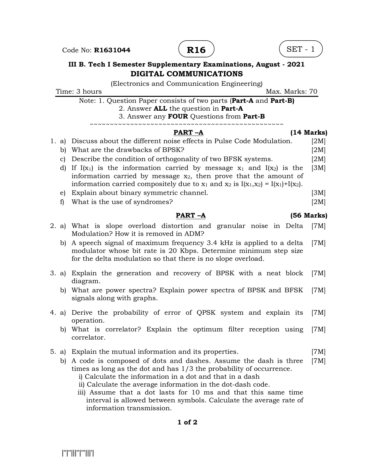Code No: **R1631044**  $($  **R16**  $)$   $($  SET - 1





## III B. Tech I Semester Supplementary Examinations, August - 2021 DIGITAL COMMUNICATIONS

(Electronics and Communication Engineering) Time: 3 hours and the matrix of the matrix of the Max. Marks: 70 Note: 1. Question Paper consists of two parts (Part-A and Part-B) 2. Answer ALL the question in Part-A 3. Answer any FOUR Questions from Part-B ~~~~~~~~~~~~~~~~~~~~~~~~~~~~~~~~~~~~~~~~~~~~~~~~ PART –A (14 Marks) 1. a) Discuss about the different noise effects in Pulse Code Modulation. [2M] b) What are the drawbacks of BPSK? [2M] c) Describe the condition of orthogonality of two BFSK systems. [2M] d) If  $I(x_1)$  is the information carried by message  $x_1$  and  $I(x_2)$  is the information carried by message  $x_2$ , then prove that the amount of information carried compositely due to  $x_1$  and  $x_2$  is  $I(x_1,x_2) = I(x_1)+I(x_2)$ .  $[3M]$ e) Explain about binary symmetric channel. [3M] f) What is the use of syndromes? [2M] PART –A (56 Marks) 2. a) What is slope overload distortion and granular noise in Delta Modulation? How it is removed in ADM? [7M] b) A speech signal of maximum frequency 3.4 kHz is applied to a delta modulator whose bit rate is 20 Kbps. Determine minimum step size for the delta modulation so that there is no slope overload. [7M] 3. a) Explain the generation and recovery of BPSK with a neat block diagram. [7M] b) What are power spectra? Explain power spectra of BPSK and BFSK signals along with graphs. [7M] 4. a) Derive the probability of error of QPSK system and explain its operation. [7M] b) What is correlator? Explain the optimum filter reception using correlator. [7M] 5. a) Explain the mutual information and its properties. [7M] b) A code is composed of dots and dashes. Assume the dash is three times as long as the dot and has 1/3 the probability of occurrence. i) Calculate the information in a dot and that in a dash ii) Calculate the average information in the dot-dash code. iii) Assume that a dot lasts for 10 ms and that this same time interval is allowed between symbols. Calculate the average rate of information transmission. [7M]

## 1 of 2

|''|''|||''|'''|||'|